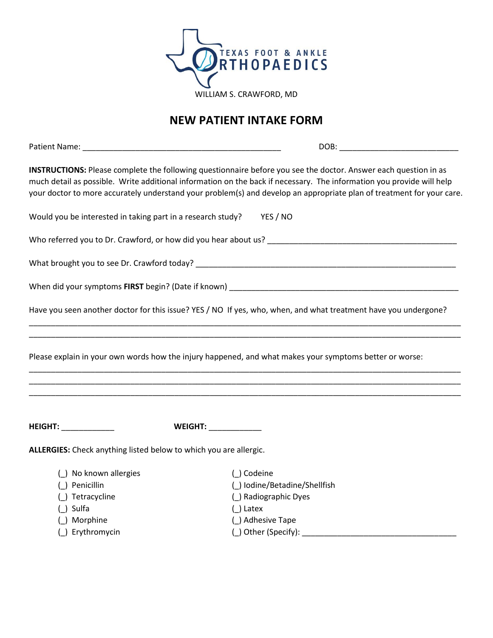

# **NEW PATIENT INTAKE FORM**

|                                                                   | <b>INSTRUCTIONS:</b> Please complete the following questionnaire before you see the doctor. Answer each question in as<br>much detail as possible. Write additional information on the back if necessary. The information you provide will help<br>your doctor to more accurately understand your problem(s) and develop an appropriate plan of treatment for your care. |  |  |  |  |
|-------------------------------------------------------------------|--------------------------------------------------------------------------------------------------------------------------------------------------------------------------------------------------------------------------------------------------------------------------------------------------------------------------------------------------------------------------|--|--|--|--|
| Would you be interested in taking part in a research study?       | YES / NO                                                                                                                                                                                                                                                                                                                                                                 |  |  |  |  |
|                                                                   |                                                                                                                                                                                                                                                                                                                                                                          |  |  |  |  |
|                                                                   |                                                                                                                                                                                                                                                                                                                                                                          |  |  |  |  |
|                                                                   |                                                                                                                                                                                                                                                                                                                                                                          |  |  |  |  |
|                                                                   | Have you seen another doctor for this issue? YES / NO If yes, who, when, and what treatment have you undergone?                                                                                                                                                                                                                                                          |  |  |  |  |
|                                                                   | Please explain in your own words how the injury happened, and what makes your symptoms better or worse:                                                                                                                                                                                                                                                                  |  |  |  |  |
| <b>HEIGHT: _____________</b>                                      | <b>WEIGHT:</b> ____________                                                                                                                                                                                                                                                                                                                                              |  |  |  |  |
| ALLERGIES: Check anything listed below to which you are allergic. |                                                                                                                                                                                                                                                                                                                                                                          |  |  |  |  |
| (_) No known allergies                                            | () Codeine                                                                                                                                                                                                                                                                                                                                                               |  |  |  |  |
| () Penicillin                                                     | (_) lodine/Betadine/Shellfish                                                                                                                                                                                                                                                                                                                                            |  |  |  |  |
| (_) Tetracycline                                                  | (_) Radiographic Dyes                                                                                                                                                                                                                                                                                                                                                    |  |  |  |  |
| () Sulfa                                                          | $( )$ Latex                                                                                                                                                                                                                                                                                                                                                              |  |  |  |  |
| (_) Morphine                                                      | (_) Adhesive Tape                                                                                                                                                                                                                                                                                                                                                        |  |  |  |  |
| (_) Erythromycin                                                  |                                                                                                                                                                                                                                                                                                                                                                          |  |  |  |  |
|                                                                   |                                                                                                                                                                                                                                                                                                                                                                          |  |  |  |  |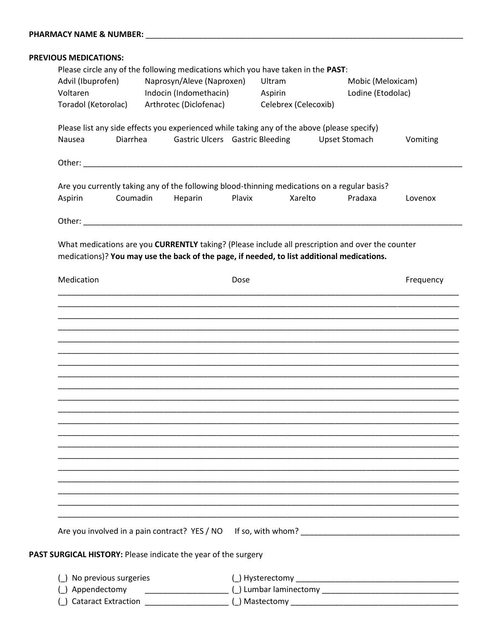| PHARMACY NAME & NUMBER: |  |  |
|-------------------------|--|--|
|-------------------------|--|--|

| Please circle any of the following medications which you have taken in the PAST:<br>Advil (Ibuprofen)<br>Naprosyn/Aleve (Naproxen)<br>Ultram<br>Mobic (Meloxicam)<br>Indocin (Indomethacin)<br>Voltaren<br>Lodine (Etodolac)<br>Aspirin<br>Arthrotec (Diclofenac)<br>Celebrex (Celecoxib)<br>Toradol (Ketorolac)<br>Please list any side effects you experienced while taking any of the above (please specify)<br><b>Gastric Ulcers</b> Gastric Bleeding<br>Diarrhea<br><b>Upset Stomach</b><br>Nausea<br>Vomiting<br>Are you currently taking any of the following blood-thinning medications on a regular basis?<br>Coumadin<br>Plavix<br>Xarelto<br>Aspirin<br>Heparin<br>Pradaxa<br>Lovenox<br>What medications are you CURRENTLY taking? (Please include all prescription and over the counter<br>medications)? You may use the back of the page, if needed, to list additional medications.<br>Medication<br>Frequency<br>Dose<br>PAST SURGICAL HISTORY: Please indicate the year of the surgery<br>(_) No previous surgeries<br>(_) Appendectomy | <b>PREVIOUS MEDICATIONS:</b> |  |  |  |
|----------------------------------------------------------------------------------------------------------------------------------------------------------------------------------------------------------------------------------------------------------------------------------------------------------------------------------------------------------------------------------------------------------------------------------------------------------------------------------------------------------------------------------------------------------------------------------------------------------------------------------------------------------------------------------------------------------------------------------------------------------------------------------------------------------------------------------------------------------------------------------------------------------------------------------------------------------------------------------------------------------------------------------------------------------|------------------------------|--|--|--|
|                                                                                                                                                                                                                                                                                                                                                                                                                                                                                                                                                                                                                                                                                                                                                                                                                                                                                                                                                                                                                                                          |                              |  |  |  |
|                                                                                                                                                                                                                                                                                                                                                                                                                                                                                                                                                                                                                                                                                                                                                                                                                                                                                                                                                                                                                                                          |                              |  |  |  |
|                                                                                                                                                                                                                                                                                                                                                                                                                                                                                                                                                                                                                                                                                                                                                                                                                                                                                                                                                                                                                                                          |                              |  |  |  |
|                                                                                                                                                                                                                                                                                                                                                                                                                                                                                                                                                                                                                                                                                                                                                                                                                                                                                                                                                                                                                                                          |                              |  |  |  |
|                                                                                                                                                                                                                                                                                                                                                                                                                                                                                                                                                                                                                                                                                                                                                                                                                                                                                                                                                                                                                                                          |                              |  |  |  |
|                                                                                                                                                                                                                                                                                                                                                                                                                                                                                                                                                                                                                                                                                                                                                                                                                                                                                                                                                                                                                                                          |                              |  |  |  |
|                                                                                                                                                                                                                                                                                                                                                                                                                                                                                                                                                                                                                                                                                                                                                                                                                                                                                                                                                                                                                                                          |                              |  |  |  |
|                                                                                                                                                                                                                                                                                                                                                                                                                                                                                                                                                                                                                                                                                                                                                                                                                                                                                                                                                                                                                                                          |                              |  |  |  |
|                                                                                                                                                                                                                                                                                                                                                                                                                                                                                                                                                                                                                                                                                                                                                                                                                                                                                                                                                                                                                                                          |                              |  |  |  |
|                                                                                                                                                                                                                                                                                                                                                                                                                                                                                                                                                                                                                                                                                                                                                                                                                                                                                                                                                                                                                                                          |                              |  |  |  |
|                                                                                                                                                                                                                                                                                                                                                                                                                                                                                                                                                                                                                                                                                                                                                                                                                                                                                                                                                                                                                                                          |                              |  |  |  |
|                                                                                                                                                                                                                                                                                                                                                                                                                                                                                                                                                                                                                                                                                                                                                                                                                                                                                                                                                                                                                                                          |                              |  |  |  |
|                                                                                                                                                                                                                                                                                                                                                                                                                                                                                                                                                                                                                                                                                                                                                                                                                                                                                                                                                                                                                                                          |                              |  |  |  |
|                                                                                                                                                                                                                                                                                                                                                                                                                                                                                                                                                                                                                                                                                                                                                                                                                                                                                                                                                                                                                                                          |                              |  |  |  |
|                                                                                                                                                                                                                                                                                                                                                                                                                                                                                                                                                                                                                                                                                                                                                                                                                                                                                                                                                                                                                                                          |                              |  |  |  |
|                                                                                                                                                                                                                                                                                                                                                                                                                                                                                                                                                                                                                                                                                                                                                                                                                                                                                                                                                                                                                                                          |                              |  |  |  |
|                                                                                                                                                                                                                                                                                                                                                                                                                                                                                                                                                                                                                                                                                                                                                                                                                                                                                                                                                                                                                                                          |                              |  |  |  |
|                                                                                                                                                                                                                                                                                                                                                                                                                                                                                                                                                                                                                                                                                                                                                                                                                                                                                                                                                                                                                                                          |                              |  |  |  |
|                                                                                                                                                                                                                                                                                                                                                                                                                                                                                                                                                                                                                                                                                                                                                                                                                                                                                                                                                                                                                                                          |                              |  |  |  |
|                                                                                                                                                                                                                                                                                                                                                                                                                                                                                                                                                                                                                                                                                                                                                                                                                                                                                                                                                                                                                                                          |                              |  |  |  |
|                                                                                                                                                                                                                                                                                                                                                                                                                                                                                                                                                                                                                                                                                                                                                                                                                                                                                                                                                                                                                                                          |                              |  |  |  |
|                                                                                                                                                                                                                                                                                                                                                                                                                                                                                                                                                                                                                                                                                                                                                                                                                                                                                                                                                                                                                                                          |                              |  |  |  |
|                                                                                                                                                                                                                                                                                                                                                                                                                                                                                                                                                                                                                                                                                                                                                                                                                                                                                                                                                                                                                                                          |                              |  |  |  |
|                                                                                                                                                                                                                                                                                                                                                                                                                                                                                                                                                                                                                                                                                                                                                                                                                                                                                                                                                                                                                                                          |                              |  |  |  |
|                                                                                                                                                                                                                                                                                                                                                                                                                                                                                                                                                                                                                                                                                                                                                                                                                                                                                                                                                                                                                                                          |                              |  |  |  |
|                                                                                                                                                                                                                                                                                                                                                                                                                                                                                                                                                                                                                                                                                                                                                                                                                                                                                                                                                                                                                                                          |                              |  |  |  |
|                                                                                                                                                                                                                                                                                                                                                                                                                                                                                                                                                                                                                                                                                                                                                                                                                                                                                                                                                                                                                                                          |                              |  |  |  |
|                                                                                                                                                                                                                                                                                                                                                                                                                                                                                                                                                                                                                                                                                                                                                                                                                                                                                                                                                                                                                                                          |                              |  |  |  |
|                                                                                                                                                                                                                                                                                                                                                                                                                                                                                                                                                                                                                                                                                                                                                                                                                                                                                                                                                                                                                                                          |                              |  |  |  |
|                                                                                                                                                                                                                                                                                                                                                                                                                                                                                                                                                                                                                                                                                                                                                                                                                                                                                                                                                                                                                                                          |                              |  |  |  |
|                                                                                                                                                                                                                                                                                                                                                                                                                                                                                                                                                                                                                                                                                                                                                                                                                                                                                                                                                                                                                                                          |                              |  |  |  |
|                                                                                                                                                                                                                                                                                                                                                                                                                                                                                                                                                                                                                                                                                                                                                                                                                                                                                                                                                                                                                                                          |                              |  |  |  |
|                                                                                                                                                                                                                                                                                                                                                                                                                                                                                                                                                                                                                                                                                                                                                                                                                                                                                                                                                                                                                                                          |                              |  |  |  |
|                                                                                                                                                                                                                                                                                                                                                                                                                                                                                                                                                                                                                                                                                                                                                                                                                                                                                                                                                                                                                                                          |                              |  |  |  |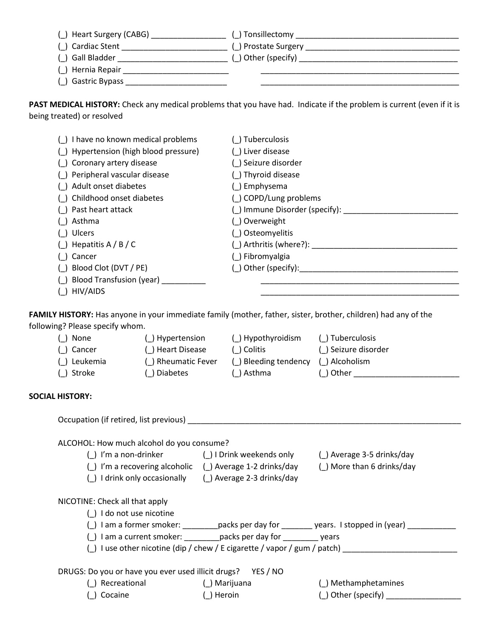(\_) Heart Surgery (CABG) \_\_\_\_\_\_\_\_\_\_\_\_\_\_\_\_\_ (\_) Tonsillectomy \_\_\_\_\_\_\_\_\_\_\_\_\_\_\_\_\_\_\_\_\_\_\_\_\_\_\_\_\_\_\_\_\_\_\_\_\_ (\_) Cardiac Stent \_\_\_\_\_\_\_\_\_\_\_\_\_\_\_\_\_\_\_\_\_\_\_\_ (\_) Prostate Surgery \_\_\_\_\_\_\_\_\_\_\_\_\_\_\_\_\_\_\_\_\_\_\_\_\_\_\_\_\_\_\_\_\_\_\_ (\_) Gall Bladder \_\_\_\_\_\_\_\_\_\_\_\_\_\_\_\_\_\_\_\_\_\_\_\_\_ (\_) Other (specify) \_\_\_\_\_\_\_\_\_\_\_\_\_\_\_\_\_\_\_\_\_\_\_\_\_\_\_\_\_\_\_\_\_\_\_\_ (\_) Hernia Repair \_\_\_\_\_\_\_\_\_\_\_\_\_\_\_\_\_\_\_\_\_\_\_\_ \_\_\_\_\_\_\_\_\_\_\_\_\_\_\_\_\_\_\_\_\_\_\_\_\_\_\_\_\_\_\_\_\_\_\_\_\_\_\_\_\_\_\_\_\_ (\_) Gastric Bypass \_\_\_\_\_\_\_\_\_\_\_\_\_\_\_\_\_\_\_\_\_\_\_ \_\_\_\_\_\_\_\_\_\_\_\_\_\_\_\_\_\_\_\_\_\_\_\_\_\_\_\_\_\_\_\_\_\_\_\_\_\_\_\_\_\_\_\_\_

PAST MEDICAL HISTORY: Check any medical problems that you have had. Indicate if the problem is current (even if it is being treated) or resolved

| (_) I have no known medical problems<br>(_) Hypertension (high blood pressure)<br>(_) Coronary artery disease<br>(_) Peripheral vascular disease<br>() Adult onset diabetes |                                               |            | (_) Tuberculosis<br>(_) Liver disease<br>() Seizure disorder<br>(_) Thyroid disease<br>(_) Emphysema                              |                                                                                                                                                           |
|-----------------------------------------------------------------------------------------------------------------------------------------------------------------------------|-----------------------------------------------|------------|-----------------------------------------------------------------------------------------------------------------------------------|-----------------------------------------------------------------------------------------------------------------------------------------------------------|
| (_) Childhood onset diabetes                                                                                                                                                |                                               |            | (_) COPD/Lung problems                                                                                                            |                                                                                                                                                           |
| () Past heart attack                                                                                                                                                        |                                               |            |                                                                                                                                   |                                                                                                                                                           |
| () Asthma                                                                                                                                                                   |                                               |            | (_) Overweight                                                                                                                    |                                                                                                                                                           |
| () Ulcers                                                                                                                                                                   |                                               |            | (_) Osteomyelitis                                                                                                                 |                                                                                                                                                           |
| () Hepatitis $A / B / C$                                                                                                                                                    |                                               |            |                                                                                                                                   |                                                                                                                                                           |
| () Cancer                                                                                                                                                                   |                                               |            | (_) Fibromyalgia                                                                                                                  |                                                                                                                                                           |
| (_) Blood Clot (DVT / PE)                                                                                                                                                   |                                               |            |                                                                                                                                   |                                                                                                                                                           |
| (_) Blood Transfusion (year) _________                                                                                                                                      |                                               |            |                                                                                                                                   |                                                                                                                                                           |
| $($ HIV/AIDS                                                                                                                                                                |                                               |            |                                                                                                                                   |                                                                                                                                                           |
| following? Please specify whom.<br>() None<br>() Cancer<br>(_) Leukemia<br>() Stroke<br><b>SOCIAL HISTORY:</b>                                                              | (_) Heart Disease (_) Colitis<br>(_) Diabetes |            | (_) Hypertension (_) Hypothyroidism (_) Tuberculosis<br>(_) Rheumatic Fever (_) Bleeding tendency (_) Alcoholism<br>$(\_)$ Asthma | FAMILY HISTORY: Has anyone in your immediate family (mother, father, sister, brother, children) had any of the<br>(_) Seizure disorder<br>$\bigcup$ Other |
|                                                                                                                                                                             |                                               |            |                                                                                                                                   |                                                                                                                                                           |
| ALCOHOL: How much alcohol do you consume?                                                                                                                                   |                                               |            |                                                                                                                                   |                                                                                                                                                           |
| () I'm a non-drinker                                                                                                                                                        |                                               |            | (_) I Drink weekends only                                                                                                         | () Average 3-5 drinks/day                                                                                                                                 |
|                                                                                                                                                                             |                                               |            | (_) I'm a recovering alcoholic (_) Average 1-2 drinks/day                                                                         | (_) More than 6 drinks/day                                                                                                                                |
|                                                                                                                                                                             |                                               |            | (_) I drink only occasionally (_) Average 2-3 drinks/day                                                                          |                                                                                                                                                           |
| NICOTINE: Check all that apply                                                                                                                                              |                                               |            |                                                                                                                                   |                                                                                                                                                           |
| (_) I do not use nicotine                                                                                                                                                   |                                               |            |                                                                                                                                   |                                                                                                                                                           |
|                                                                                                                                                                             |                                               |            |                                                                                                                                   | (_) I am a former smoker: _________packs per day for ________ years. I stopped in (year) ___________                                                      |
|                                                                                                                                                                             |                                               |            | (_) I am a current smoker: _________ packs per day for _________ years                                                            |                                                                                                                                                           |
|                                                                                                                                                                             |                                               |            |                                                                                                                                   | (_) I use other nicotine (dip / chew / E cigarette / vapor / gum / patch)                                                                                 |
| DRUGS: Do you or have you ever used illicit drugs?                                                                                                                          |                                               |            | YES / NO                                                                                                                          |                                                                                                                                                           |
| () Recreational                                                                                                                                                             |                                               |            | (_) Marijuana                                                                                                                     | () Methamphetamines                                                                                                                                       |
| Cocaine                                                                                                                                                                     |                                               | (_) Heroin |                                                                                                                                   | (_) Other (specify) ______                                                                                                                                |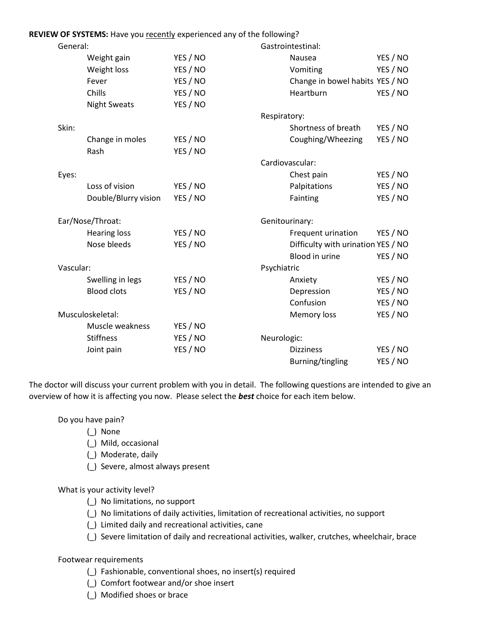| REVIEW OF SYSTEMS: Have you recently experienced any of the following? |
|------------------------------------------------------------------------|
|------------------------------------------------------------------------|

| General:  |                      |          | Gastrointestinal:                  |          |
|-----------|----------------------|----------|------------------------------------|----------|
|           | Weight gain          | YES / NO | Nausea                             | YES / NO |
|           | Weight loss          | YES / NO | Vomiting                           | YES / NO |
|           | Fever                | YES / NO | Change in bowel habits YES / NO    |          |
|           | Chills               | YES / NO | Heartburn                          | YES / NO |
|           | <b>Night Sweats</b>  | YES / NO |                                    |          |
|           |                      |          | Respiratory:                       |          |
| Skin:     |                      |          | Shortness of breath                | YES / NO |
|           | Change in moles      | YES / NO | Coughing/Wheezing                  | YES / NO |
|           | Rash                 | YES / NO |                                    |          |
|           |                      |          | Cardiovascular:                    |          |
| Eyes:     |                      |          | Chest pain                         | YES / NO |
|           | Loss of vision       | YES / NO | Palpitations                       | YES / NO |
|           | Double/Blurry vision | YES / NO | Fainting                           | YES / NO |
|           | Ear/Nose/Throat:     |          | Genitourinary:                     |          |
|           | <b>Hearing loss</b>  | YES / NO | Frequent urination                 | YES / NO |
|           | Nose bleeds          | YES / NO | Difficulty with urination YES / NO |          |
|           |                      |          | Blood in urine                     | YES / NO |
| Vascular: |                      |          | Psychiatric                        |          |
|           | Swelling in legs     | YES / NO | Anxiety                            | YES / NO |
|           | <b>Blood clots</b>   | YES / NO | Depression                         | YES / NO |
|           |                      |          | Confusion                          | YES / NO |
|           | Musculoskeletal:     |          | Memory loss                        | YES / NO |
|           | Muscle weakness      | YES / NO |                                    |          |
|           | <b>Stiffness</b>     | YES / NO | Neurologic:                        |          |
|           | Joint pain           | YES / NO | <b>Dizziness</b>                   | YES / NO |
|           |                      |          | Burning/tingling                   | YES / NO |
|           |                      |          |                                    |          |

The doctor will discuss your current problem with you in detail. The following questions are intended to give an overview of how it is affecting you now. Please select the *best* choice for each item below.

#### Do you have pain?

- (\_) None
- (\_) Mild, occasional
- (\_) Moderate, daily
- (\_) Severe, almost always present

#### What is your activity level?

- (\_) No limitations, no support
- (\_) No limitations of daily activities, limitation of recreational activities, no support
- (\_) Limited daily and recreational activities, cane
- (\_) Severe limitation of daily and recreational activities, walker, crutches, wheelchair, brace

#### Footwear requirements

- (\_) Fashionable, conventional shoes, no insert(s) required
- (\_) Comfort footwear and/or shoe insert
- (\_) Modified shoes or brace